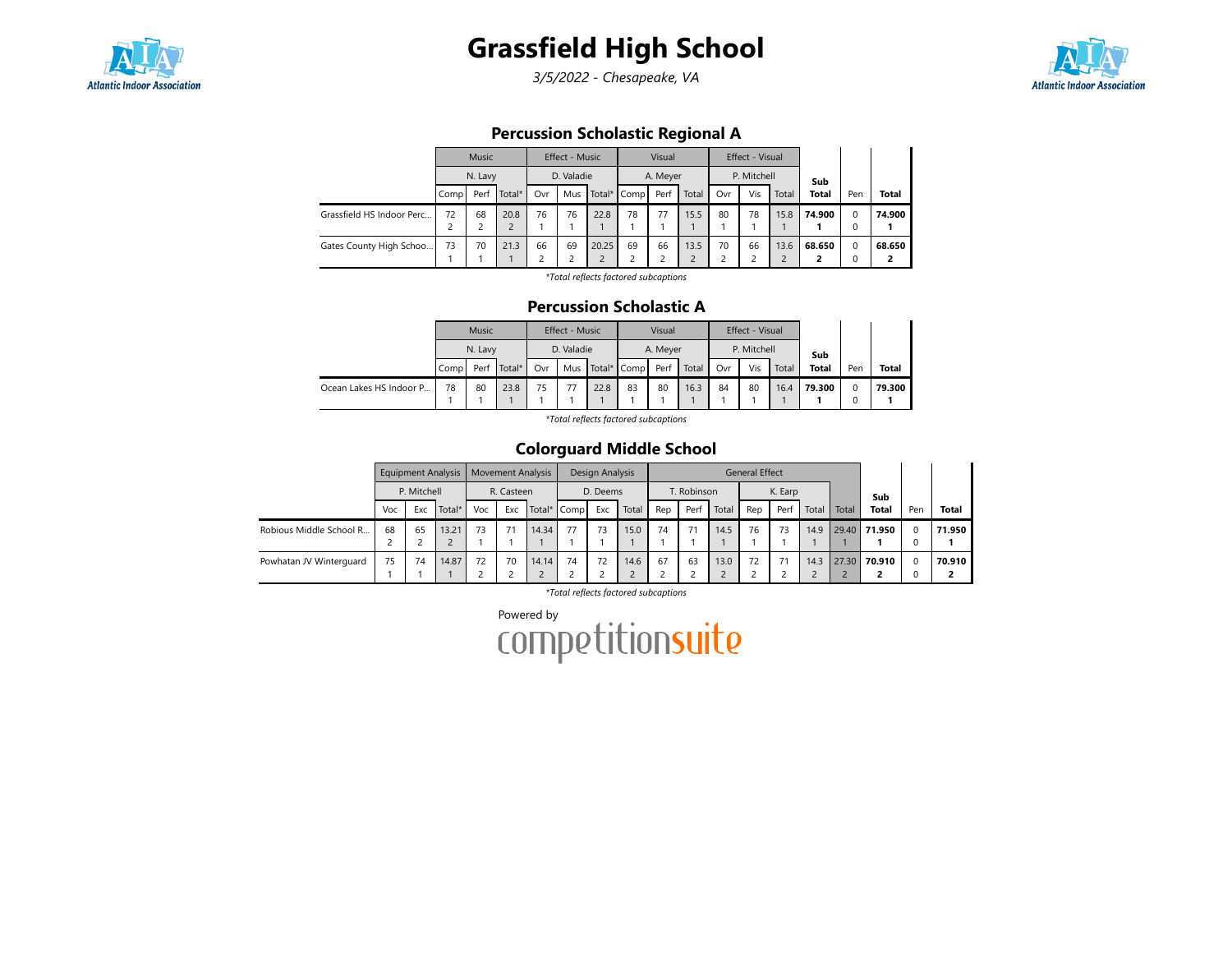

## Grassfield High School

3/5/2022 - Chesapeake, VA



## Percussion Scholastic Regional A

|                           |      | <b>Music</b>              |      |    | Effect - Music |       |             | Visual   |       |     | Effect - Visual |       |              |          |              |
|---------------------------|------|---------------------------|------|----|----------------|-------|-------------|----------|-------|-----|-----------------|-------|--------------|----------|--------------|
|                           |      | N. Lavy<br>Total*<br>Perf |      |    | D. Valadie     |       |             | A. Meyer |       |     | P. Mitchell     |       | Sub          |          |              |
|                           | Comp | Ovr                       |      |    | Mus            |       | Total* Comp | Perf     | Total | Ovr | Vis             | Total | <b>Total</b> | Pen      | <b>Total</b> |
| Grassfield HS Indoor Perc | 72   | 68                        | 20.8 | 76 | 76             | 22.8  | 78          | 77       | 15.5  | 80  | 78              | 15.8  | 74.900       | $\Omega$ | 74.900       |
|                           |      |                           |      |    |                |       |             |          |       |     |                 |       |              | 0        |              |
| Gates County High Schoo   | 73   | 70<br>21.3                |      |    | 69             | 20.25 | 69          | 66       | 13.5  | 70  | 66              | 13.6  | 68.650       | $\Omega$ | 68.650       |
|                           |      |                           |      | 2  |                | C     |             |          |       |     |                 |       |              | 0        |              |

\*Total reflects factored subcaptions

## Percussion Scholastic A

|                         |                        | <b>Music</b> |    |     | Effect - Music |    |                      | Visual   |       |     | Effect - Visual |        |              |        |              |
|-------------------------|------------------------|--------------|----|-----|----------------|----|----------------------|----------|-------|-----|-----------------|--------|--------------|--------|--------------|
|                         |                        | N. Lavy      |    |     | D. Valadie     |    |                      | A. Meyer |       |     | P. Mitchell     |        | Sub          |        |              |
|                         | Total*<br>Perf<br>Comp |              |    | Ovr |                |    | Mus Total* Comp Perf |          | Total | Ovr | Vis             | Total  | <b>Total</b> | Pen    | <b>Total</b> |
| Ocean Lakes HS Indoor P | 78<br>80<br>23.8       |              | 75 |     | 22.8           | 83 | 80                   | 16.3     | 84    | 80  | 16.4            | 79.300 |              | 79.300 |              |
|                         |                        |              |    |     |                |    |                      |          |       |     |                 |        |              |        |              |

\*Total reflects factored subcaptions

## Colorguard Middle School

|                         |     |             | <b>Equipment Analysis</b> |     | <b>Movement Analysis</b> |             |    | Design Analysis |       |     |             |            | <b>General Effect</b> |         |       |       |              |          |              |
|-------------------------|-----|-------------|---------------------------|-----|--------------------------|-------------|----|-----------------|-------|-----|-------------|------------|-----------------------|---------|-------|-------|--------------|----------|--------------|
|                         |     | P. Mitchell |                           |     | R. Casteen               |             |    | D. Deems        |       |     | T. Robinson |            |                       | K. Earp |       |       | Sub          |          |              |
|                         | Voc | Exc         | Total*                    | Voc | Exc                      | Total* Comp |    | Exc             | Total | Rep | Perf        | Total      | Rep                   | Perf    | Total | Total | <b>Total</b> | Pen      | <b>Total</b> |
| Robious Middle School R | 68  | 65          | 13.21                     | 73  | 71                       | 14.34       | 77 | 73              | 15.0  | 74  |             | 14.5       | 76                    | 73      | 14.9  |       | 29.40 71.950 | $\Omega$ | 71.950       |
|                         |     |             |                           |     |                          |             |    |                 |       |     |             |            |                       |         |       |       |              | 0        |              |
| Powhatan JV Winterguard | 75  | 74          | 14.87                     | 72  | 70                       | 14.14       | 74 | 72              | 14.6  | 67  | 63          | 13.0       | 72                    | 71      | 14.3  |       | 27.30 70.910 | $\Omega$ | 70.910       |
|                         |     |             |                           |     |                          |             |    |                 |       |     |             | $\epsilon$ |                       |         |       |       |              | 0        |              |

\*Total reflects factored subcaptions

Powered by<br>COMPetitionsuite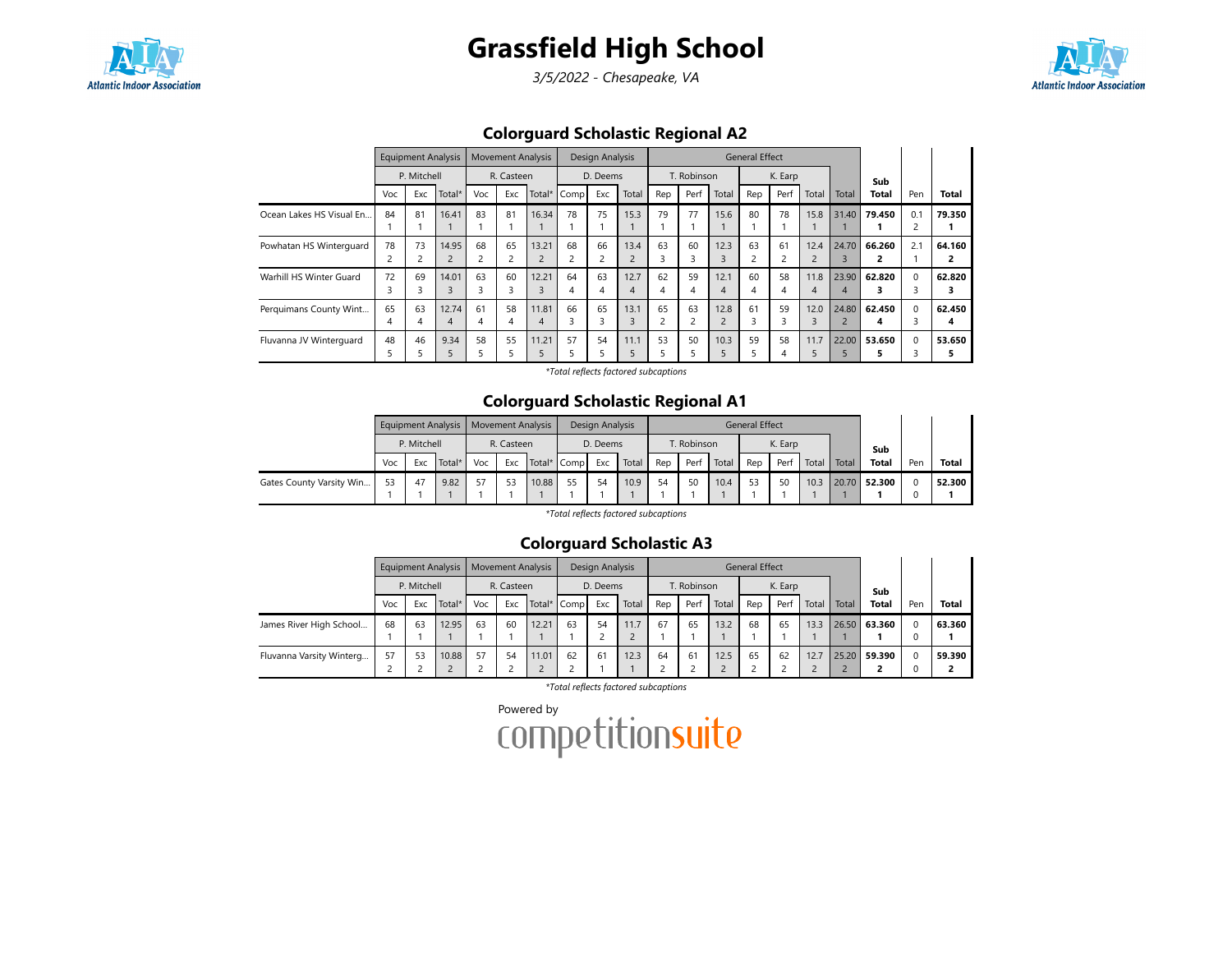

## Grassfield High School

3/5/2022 - Chesapeake, VA



## Colorguard Scholastic Regional A2

|                          |          | <b>Equipment Analysis</b> |                         |         | <b>Movement Analysis</b> |            |         | Design Analysis |           |         |             |           | General Effect |         |                        |            |             |          |                          |
|--------------------------|----------|---------------------------|-------------------------|---------|--------------------------|------------|---------|-----------------|-----------|---------|-------------|-----------|----------------|---------|------------------------|------------|-------------|----------|--------------------------|
|                          |          | P. Mitchell               |                         |         | R. Casteen               |            |         | D. Deems        |           |         | T. Robinson |           |                | K. Earp |                        |            | Sub         |          |                          |
|                          | Voc      | Exc                       | Total*                  | Voc     | Exc                      | Total*     | Comp    | Exc             | Total     | Rep     | Perf        | Total     | Rep            | Perf    | Total                  | Total      | Total       | Pen      | <b>Total</b>             |
| Ocean Lakes HS Visual En | 84       | 81                        | 16.41                   | 83      | 81                       | 16.34      | 78      | 75              | 15.3      | 79      | 77          | 15.6      | 80             | 78      | 15.8                   | 31.40      | 79.450      | 0.1      | 79.350                   |
| Powhatan HS Winterguard  | 78       | 73                        | 14.95<br>$\overline{2}$ | 68      | 65<br>2                  | 13.21      | 68      | 66<br>2         | 13.4      | 63<br>3 | 60<br>З     | 12.3      | 63<br>2        | 61      | 12.4<br>$\overline{2}$ | 24.70      | 66.260      | 2.1      | 64.160<br>$\overline{2}$ |
| Warhill HS Winter Guard  | 72<br>3  | 69                        | 14.01<br>3              | 63<br>3 | 60<br>3                  | 12.21      | 64      | 63<br>4         | 12.7<br>4 | 62<br>4 | 59          | 12.1<br>Δ | 60<br>4        | 58      | 11.8<br>4              | 23.90<br>4 | 62.820      | $\Omega$ | 62.820<br>3              |
| Perquimans County Wint   | 65<br>4  | 63<br>4                   | 12.74<br>4              | 61<br>4 | 58<br>4                  | 11.81<br>4 | 66<br>3 | 65<br>3         | 13.1      | 65<br>2 | 63          | 12.8      | 61<br>3        | 59<br>3 | 12.0<br>3              | 24.80      | 62.450<br>4 | $\Omega$ | 62.450<br>4              |
| Fluvanna JV Winterguard  | 48<br>ה. | 46                        | 9.34                    | 58<br>5 | 55                       | 11.21      | 57      | 54              | 11.1      | 53<br>5 | 50          | 10.3      | 59             | 58<br>4 | 11.7<br>5              | 22.00      | 53.650      | $\Omega$ | 53.650<br>5              |

\*Total reflects factored subcaptions

#### Colorguard Scholastic Regional A1

|                          |     |               | Equipment Analysis   Movement Analysis |     |            |             |    | Design Analysis |       |     |             |       | <b>General Effect</b> |         |       |       |              |          |              |
|--------------------------|-----|---------------|----------------------------------------|-----|------------|-------------|----|-----------------|-------|-----|-------------|-------|-----------------------|---------|-------|-------|--------------|----------|--------------|
|                          |     | P. Mitchell   |                                        |     | R. Casteen |             |    | D. Deems        |       |     | T. Robinson |       |                       | K. Earp |       |       | Sub          |          |              |
|                          | Voc | Total*<br>Exc |                                        | Voc | Exc        | Total* Comp |    | Exc             | Total | Rep | Perf        | Total | Rep                   | Perf    | Total | Total | <b>Total</b> | Pen      | <b>Total</b> |
| Gates County Varsity Win | 53  | 47            | 9.82                                   |     | 53         | 10.88       | 55 | 54              | 10.9  | 54  | 50          | 10.4  | 53                    | 50      | 10.3  |       | 20.70 52.300 | $\Omega$ | 52.300       |
|                          |     |               |                                        |     |            |             |    |                 |       |     |             |       |                       |         |       |       |              |          |              |

\*Total reflects factored subcaptions

## Colorguard Scholastic A3

|                          |     |             | <b>Equipment Analysis</b> |     | <b>Movement Analysis</b> |       |             | Design Analysis |       |     |             |       | <b>General Effect</b> |         |       |       |              |     |              |
|--------------------------|-----|-------------|---------------------------|-----|--------------------------|-------|-------------|-----------------|-------|-----|-------------|-------|-----------------------|---------|-------|-------|--------------|-----|--------------|
|                          |     | P. Mitchell |                           |     | R. Casteen               |       |             | D. Deems        |       |     | T. Robinson |       |                       | K. Earp |       |       | Sub          |     |              |
|                          | Voc | Exc         | Total*                    | Voc | Exc                      |       | Total* Comp | Exc             | Total | Rep | Perf        | Total | Rep                   | Perf    | Total | Total | <b>Total</b> | Pen | <b>Total</b> |
| James River High School  | 68  | 63          | 12.95                     | 63  | 60                       | 12.21 | 63          | 54              | 11.7  | 67  | 65          | 13.2  | 68                    | 65      | 13.3  |       | 26.50 63.360 |     | 63.360       |
|                          |     |             |                           |     |                          |       |             |                 |       |     |             |       |                       |         |       |       |              |     |              |
| Fluvanna Varsity Winterg | 57  | 53          | 10.88                     | 57  | 54                       | 11.01 | 62          | 61              | 12.3  | 64  | 61          | 12.5  | 65                    | 62      | 12.7  |       | 25.20 59.390 |     | 59.390       |
|                          |     |             |                           |     |                          |       |             |                 |       |     |             |       |                       |         |       |       |              |     |              |

\*Total reflects factored subcaptions

Powered by<br>COMPETitionsuite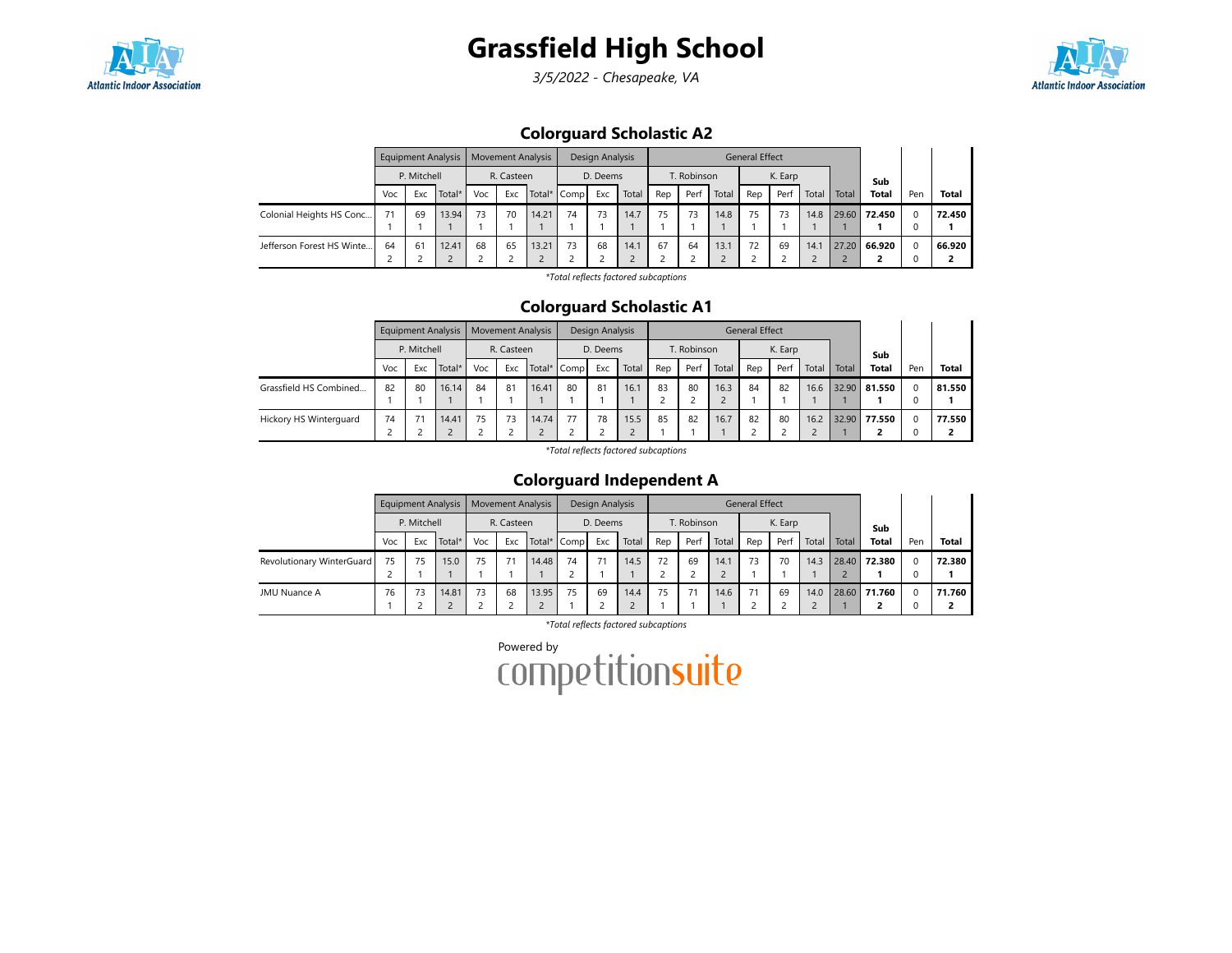



3/5/2022 - Chesapeake, VA



## Colorguard Scholastic A2

|                           |     |             | Equipment Analysis |     |            | <b>Movement Analysis</b> |             | Design Analysis |       |     |             |       | <b>General Effect</b> |         |       |       |              |     |        |
|---------------------------|-----|-------------|--------------------|-----|------------|--------------------------|-------------|-----------------|-------|-----|-------------|-------|-----------------------|---------|-------|-------|--------------|-----|--------|
|                           |     | P. Mitchell |                    |     | R. Casteen |                          |             | D. Deems        |       |     | T. Robinson |       |                       | K. Earp |       |       | Sub          |     |        |
|                           | Voc | Exc         | Total*             | Voc | Exc        |                          | Total* Comp | Exc             | Total | Rep | Perf        | Total | Rep                   | Perf    | Total | Total | <b>Total</b> | Pen | Total  |
| Colonial Heights HS Conc  | 71  | 69          | 13.94              | 73  | 70         | 14.21                    | 74          | 73              | 14.7  | 75  | 73          | 14.8  | 75                    | 73      | 14.8  | 29.60 | 72.450       |     | 72.450 |
| Jefferson Forest HS Winte | 64  | 61          | 12.41              | 68  | 65         | 13.21                    | 73          | 68              | 14.1  | 67  | 64          | 13.1  | 72                    | 69      | 14.1  | 27.20 | 66.920       |     | 66.920 |

\*Total reflects factored subcaptions

#### Colorguard Scholastic A1

|                        |     |             | <b>Equipment Analysis</b> |     | Movement Analysis |       |             | Design Analysis |       |     |             |       | <b>General Effect</b> |         |       |       |              |          |              |
|------------------------|-----|-------------|---------------------------|-----|-------------------|-------|-------------|-----------------|-------|-----|-------------|-------|-----------------------|---------|-------|-------|--------------|----------|--------------|
|                        |     | P. Mitchell |                           |     | R. Casteen        |       |             | D. Deems        |       |     | T. Robinson |       |                       | K. Earp |       |       | Sub          |          |              |
|                        | Voc | Exc         | Total*                    | Voc | Exc               |       | Total* Comp | Exc             | Total | Rep | Perf        | Total | Rep                   | Perf    | Total | Total | <b>Total</b> | Pen      | <b>Total</b> |
| Grassfield HS Combined | 82  | 80          | 16.14                     | 84  | 81                | 16.41 | 80          | 81              | 16.1  | 83  | 80          | 16.3  | 84                    | 82      | 16.6  | 32.90 | 81.550       | $\Omega$ | 81.550       |
|                        |     |             |                           |     |                   |       |             |                 |       |     |             |       |                       |         |       |       |              | 0        |              |
| Hickory HS Winterguard | 74  |             | 14.41                     | 75  | 73                | 14.74 | 77          | 78              | 15.5  | 85  | 82          | 16.7  | 82                    | 80      | 16.2  | 32.90 | 77.550       | $\Omega$ | 77.550       |
|                        |     |             |                           |     |                   |       |             |                 |       |     |             |       |                       |         |       |       |              | 0        |              |

\*Total reflects factored subcaptions

## Colorguard Independent A

|                           |     |             | <b>Equipment Analysis</b> |     | <b>Movement Analysis</b> |       |             | Design Analysis |       |     |             |       | <b>General Effect</b> |         |       |       |              |     |              |
|---------------------------|-----|-------------|---------------------------|-----|--------------------------|-------|-------------|-----------------|-------|-----|-------------|-------|-----------------------|---------|-------|-------|--------------|-----|--------------|
|                           |     | P. Mitchell |                           |     | R. Casteen               |       |             | D. Deems        |       |     | T. Robinson |       |                       | K. Earp |       |       | Sub          |     |              |
|                           | Voc | Exc         | Total*                    | Voc | Exc                      |       | Total* Comp | Exc             | Total | Rep | Perf        | Total | Rep                   | Perf    | Total | Total | <b>Total</b> | Pen | <b>Total</b> |
| Revolutionary WinterGuard | 75  | 75          | 15.0                      | 75  | 71                       | 14.48 | 74          | 71              | 14.5  | 72  | 69          | 14.1  | 73                    | 70      | 14.3  | 28.40 | 72.380       |     | 72.380       |
|                           |     |             |                           |     |                          |       |             |                 |       |     |             |       |                       |         |       |       |              |     |              |
| JMU Nuance A              | 76  | 73          | 14.81                     | 73  | 68                       | 13.95 | 75          | 69              | 14.4  | 75  |             | 14.6  | 71                    | 69      | 14.0  |       | 28.60 71.760 |     | 71.760       |
|                           |     |             |                           |     |                          |       |             |                 |       |     |             |       |                       |         |       |       |              |     |              |

\*Total reflects factored subcaptions